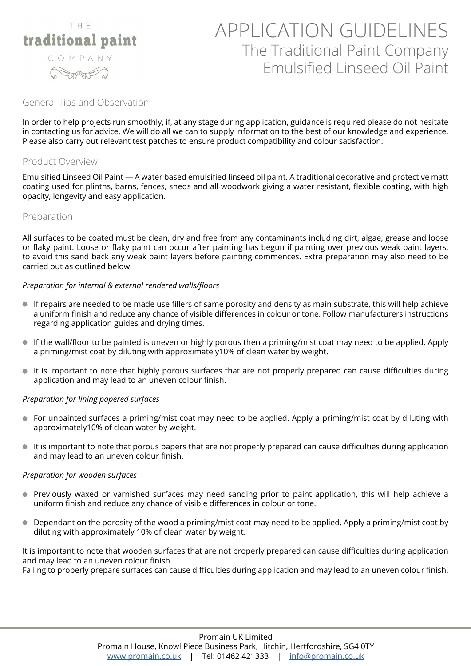

# APPLICATION GUIDELINES The Traditional Paint Company Emulsified Linseed Oil Paint

# General Tips and Observation

In order to help projects run smoothly, if, at any stage during application, guidance is required please do not hesitate in contacting us for advice. We will do all we can to supply information to the best of our knowledge and experience. Please also carry out relevant test patches to ensure product compatibility and colour satisfaction.

# Product Overview

Emulsified Linseed Oil Paint — A water based emulsified linseed oil paint. A traditional decorative and protective matt coating used for plinths, barns, fences, sheds and all woodwork giving a water resistant, flexible coating, with high opacity, longevity and easy application.

## Preparation

All surfaces to be coated must be clean, dry and free from any contaminants including dirt, algae, grease and loose or flaky paint. Loose or flaky paint can occur after painting has begun if painting over previous weak paint layers, to avoid this sand back any weak paint layers before painting commences. Extra preparation may also need to be carried out as outlined below.

### *Preparation for internal & external rendered walls/floors*

- If repairs are needed to be made use fillers of same porosity and density as main substrate, this will help achieve a uniform finish and reduce any chance of visible differences in colour or tone. Follow manufacturers instructions regarding application guides and drying times.
- If the wall/floor to be painted is uneven or highly porous then a priming/mist coat may need to be applied. Apply a priming/mist coat by diluting with approximately10% of clean water by weight.
- It is important to note that highly porous surfaces that are not properly prepared can cause difficulties during  $\bullet$ application and may lead to an uneven colour finish.

### *Preparation for lining papered surfaces*

- For unpainted surfaces a priming/mist coat may need to be applied. Apply a priming/mist coat by diluting with approximately10% of clean water by weight.
- It is important to note that porous papers that are not properly prepared can cause difficulties during application and may lead to an uneven colour finish.

### *Preparation for wooden surfaces*

- Previously waxed or varnished surfaces may need sanding prior to paint application, this will help achieve a  $\bullet$ uniform finish and reduce any chance of visible differences in colour or tone.
- $\bullet$ Dependant on the porosity of the wood a priming/mist coat may need to be applied. Apply a priming/mist coat by diluting with approximately 10% of clean water by weight.

It is important to note that wooden surfaces that are not properly prepared can cause difficulties during application and may lead to an uneven colour finish.

Failing to properly prepare surfaces can cause difficulties during application and may lead to an uneven colour finish.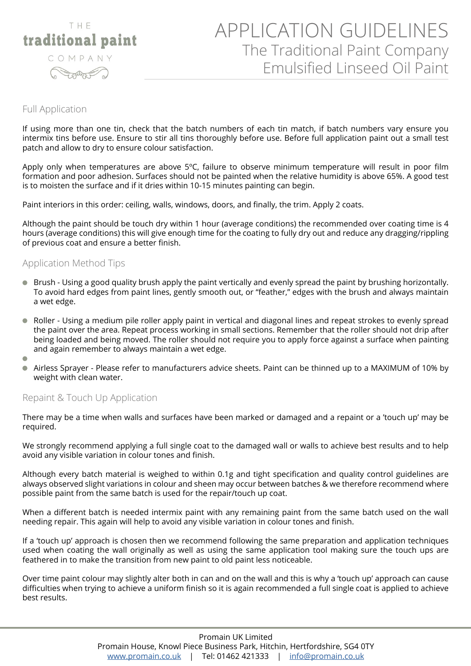

# APPLICATION GUIDELINES The Traditional Paint Company Emulsified Linseed Oil Paint

### Full Application

If using more than one tin, check that the batch numbers of each tin match, if batch numbers vary ensure you intermix tins before use. Ensure to stir all tins thoroughly before use. Before full application paint out a small test patch and allow to dry to ensure colour satisfaction.

Apply only when temperatures are above 5°C, failure to observe minimum temperature will result in poor film formation and poor adhesion. Surfaces should not be painted when the relative humidity is above 65%. A good test is to moisten the surface and if it dries within 10-15 minutes painting can begin.

Paint interiors in this order: ceiling, walls, windows, doors, and finally, the trim. Apply 2 coats.

Although the paint should be touch dry within 1 hour (average conditions) the recommended over coating time is 4 hours (average conditions) this will give enough time for the coating to fully dry out and reduce any dragging/rippling of previous coat and ensure a better finish.

# Application Method Tips

- Brush Using a good quality brush apply the paint vertically and evenly spread the paint by brushing horizontally.  $\bullet$ To avoid hard edges from paint lines, gently smooth out, or "feather," edges with the brush and always maintain a wet edge.
- $\bullet$ Roller - Using a medium pile roller apply paint in vertical and diagonal lines and repeat strokes to evenly spread the paint over the area. Repeat process working in small sections. Remember that the roller should not drip after being loaded and being moved. The roller should not require you to apply force against a surface when painting and again remember to always maintain a wet edge.
- $\sqrt{2}$
- Airless Sprayer Please refer to manufacturers advice sheets. Paint can be thinned up to a MAXIMUM of 10% by  $\bullet$ weight with clean water.

# Repaint & Touch Up Application

There may be a time when walls and surfaces have been marked or damaged and a repaint or a 'touch up' may be required.

We strongly recommend applying a full single coat to the damaged wall or walls to achieve best results and to help avoid any visible variation in colour tones and finish.

Although every batch material is weighed to within 0.1g and tight specification and quality control guidelines are always observed slight variations in colour and sheen may occur between batches & we therefore recommend where possible paint from the same batch is used for the repair/touch up coat.

When a different batch is needed intermix paint with any remaining paint from the same batch used on the wall needing repair. This again will help to avoid any visible variation in colour tones and finish.

If a 'touch up' approach is chosen then we recommend following the same preparation and application techniques used when coating the wall originally as well as using the same application tool making sure the touch ups are feathered in to make the transition from new paint to old paint less noticeable.

Over time paint colour may slightly alter both in can and on the wall and this is why a 'touch up' approach can cause difficulties when trying to achieve a uniform finish so it is again recommended a full single coat is applied to achieve best results.